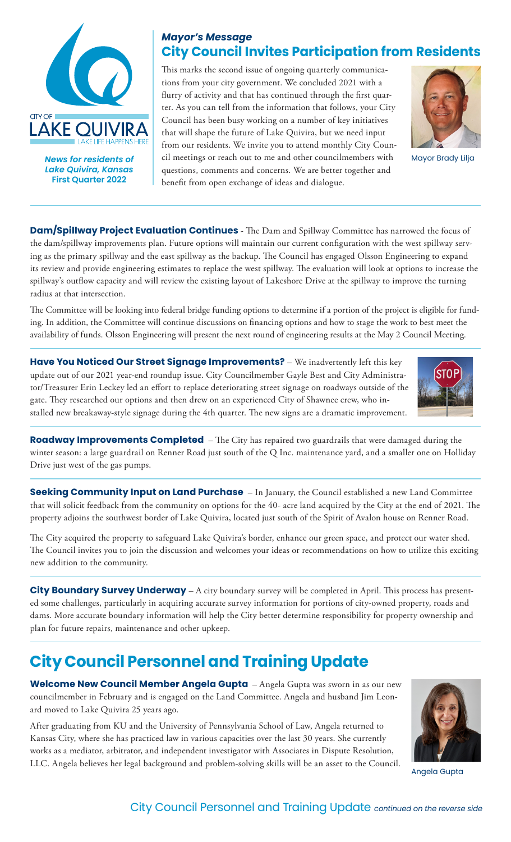

*News for residents of Lake Quivira, Kansas*  **First Quarter 2022**

## *Mayor's Message* **City Council Invites Participation from Residents**

This marks the second issue of ongoing quarterly communications from your city government. We concluded 2021 with a flurry of activity and that has continued through the first quarter. As you can tell from the information that follows, your City Council has been busy working on a number of key initiatives that will shape the future of Lake Quivira, but we need input from our residents. We invite you to attend monthly City Council meetings or reach out to me and other councilmembers with questions, comments and concerns. We are better together and benefit from open exchange of ideas and dialogue.



Mayor Brady Lilja

**Dam/Spillway Project Evaluation Continues** - The Dam and Spillway Committee has narrowed the focus of the dam/spillway improvements plan. Future options will maintain our current configuration with the west spillway serving as the primary spillway and the east spillway as the backup. The Council has engaged Olsson Engineering to expand its review and provide engineering estimates to replace the west spillway. The evaluation will look at options to increase the spillway's outflow capacity and will review the existing layout of Lakeshore Drive at the spillway to improve the turning radius at that intersection.

The Committee will be looking into federal bridge funding options to determine if a portion of the project is eligible for funding. In addition, the Committee will continue discussions on financing options and how to stage the work to best meet the availability of funds. Olsson Engineering will present the next round of engineering results at the May 2 Council Meeting.

**Have You Noticed Our Street Signage Improvements?** – We inadvertently left this key update out of our 2021 year-end roundup issue. City Councilmember Gayle Best and City Administrator/Treasurer Erin Leckey led an effort to replace deteriorating street signage on roadways outside of the gate. They researched our options and then drew on an experienced City of Shawnee crew, who installed new breakaway-style signage during the 4th quarter. The new signs are a dramatic improvement.



**Roadway Improvements Completed** – The City has repaired two guardrails that were damaged during the winter season: a large guardrail on Renner Road just south of the Q Inc. maintenance yard, and a smaller one on Holliday Drive just west of the gas pumps.

**Seeking Community Input on Land Purchase** – In January, the Council established a new Land Committee that will solicit feedback from the community on options for the 40- acre land acquired by the City at the end of 2021. The property adjoins the southwest border of Lake Quivira, located just south of the Spirit of Avalon house on Renner Road.

The City acquired the property to safeguard Lake Quivira's border, enhance our green space, and protect our water shed. The Council invites you to join the discussion and welcomes your ideas or recommendations on how to utilize this exciting new addition to the community.

**City Boundary Survey Underway** – A city boundary survey will be completed in April. This process has presented some challenges, particularly in acquiring accurate survey information for portions of city-owned property, roads and dams. More accurate boundary information will help the City better determine responsibility for property ownership and plan for future repairs, maintenance and other upkeep.

## **City Council Personnel and Training Update**

**Welcome New Council Member Angela Gupta** – Angela Gupta was sworn in as our new councilmember in February and is engaged on the Land Committee. Angela and husband Jim Leonard moved to Lake Quivira 25 years ago.

After graduating from KU and the University of Pennsylvania School of Law, Angela returned to Kansas City, where she has practiced law in various capacities over the last 30 years. She currently works as a mediator, arbitrator, and independent investigator with Associates in Dispute Resolution, LLC. Angela believes her legal background and problem-solving skills will be an asset to the Council.



Angela Gupta